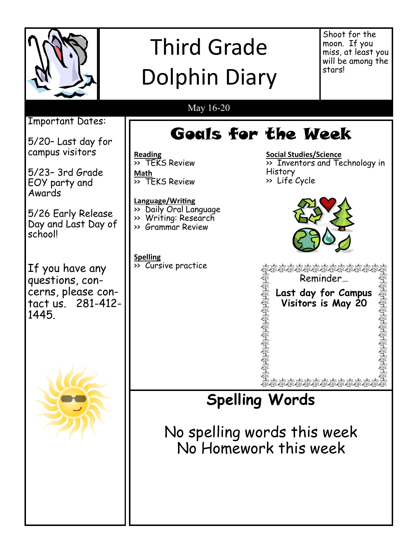

## Third Grade Dolphin Diary

Shoot for the moon. If you miss, at least you will be among the stars!

### May 16-20

Goals for the Week

Important Dates:

5/20– Last day for campus visitors

5/23– 3rd Grade EOY party and Awards

5/26 Early Release Day and Last Day of school!

If you have any questions, concerns, please contact us. 281-412- 1445.



**Reading** >> TEKS Review **Math**  $\overline{\rightarrow}$  TEKS Review

**Language/Writing**

- >> Daily Oral Language >> Writing: Research
- >> Grammar Review

**Spelling** >> Cursive practice

**Social Studies/Science** >> Inventors and Technology in History >> Life Cycle



BOAT Reminder… Last day for Campus

at 1:00 **Visitors is May 20**

**Spelling Words**

No spelling words this week No Homework this week